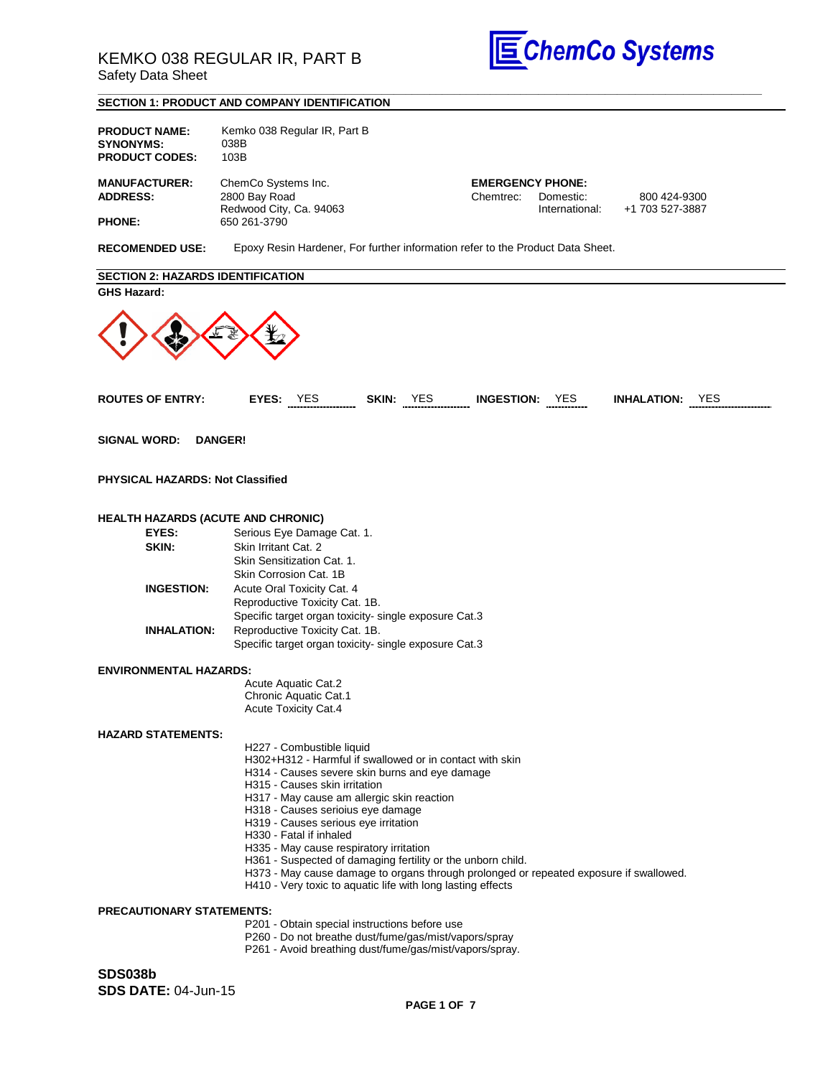

#### **\_\_\_\_\_\_\_\_\_\_\_\_\_\_\_\_\_\_\_\_\_\_\_\_\_\_\_\_\_\_\_\_\_\_\_\_\_\_\_\_\_\_\_\_\_\_\_\_\_\_\_\_\_\_\_\_\_\_\_\_\_\_\_\_\_\_\_\_\_\_\_\_\_\_\_\_\_\_\_\_\_\_\_\_\_\_\_\_\_\_\_\_\_\_\_\_\_\_\_\_\_\_\_\_\_\_\_\_\_\_ SECTION 1: PRODUCT AND COMPANY IDENTIFICATION**

| <b>PRODUCT NAME:</b><br><b>SYNONYMS:</b><br><b>PRODUCT CODES:</b> | Kemko 038 Regular IR, Part B<br>038B<br>103B                                                                                                                                                                                                                                                                                                                                                                                                                                                                                                                                                      |                         |                        |
|-------------------------------------------------------------------|---------------------------------------------------------------------------------------------------------------------------------------------------------------------------------------------------------------------------------------------------------------------------------------------------------------------------------------------------------------------------------------------------------------------------------------------------------------------------------------------------------------------------------------------------------------------------------------------------|-------------------------|------------------------|
| <b>MANUFACTURER:</b>                                              | ChemCo Systems Inc.                                                                                                                                                                                                                                                                                                                                                                                                                                                                                                                                                                               | <b>EMERGENCY PHONE:</b> |                        |
| <b>ADDRESS:</b>                                                   | 2800 Bay Road                                                                                                                                                                                                                                                                                                                                                                                                                                                                                                                                                                                     | Chemtrec:<br>Domestic:  | 800 424-9300           |
| <b>PHONE:</b>                                                     | Redwood City, Ca. 94063<br>650 261-3790                                                                                                                                                                                                                                                                                                                                                                                                                                                                                                                                                           | International:          | +1 703 527-3887        |
| <b>RECOMENDED USE:</b>                                            | Epoxy Resin Hardener, For further information refer to the Product Data Sheet.                                                                                                                                                                                                                                                                                                                                                                                                                                                                                                                    |                         |                        |
| <b>SECTION 2: HAZARDS IDENTIFICATION</b>                          |                                                                                                                                                                                                                                                                                                                                                                                                                                                                                                                                                                                                   |                         |                        |
| <b>GHS Hazard:</b>                                                |                                                                                                                                                                                                                                                                                                                                                                                                                                                                                                                                                                                                   |                         |                        |
| <b>ROUTES OF ENTRY:</b>                                           | EYES: YES SKIN: YES INGESTION: YES                                                                                                                                                                                                                                                                                                                                                                                                                                                                                                                                                                |                         | <b>INHALATION: YES</b> |
| <b>SIGNAL WORD:</b>                                               | <b>DANGER!</b>                                                                                                                                                                                                                                                                                                                                                                                                                                                                                                                                                                                    |                         |                        |
| <b>PHYSICAL HAZARDS: Not Classified</b>                           |                                                                                                                                                                                                                                                                                                                                                                                                                                                                                                                                                                                                   |                         |                        |
| <b>HEALTH HAZARDS (ACUTE AND CHRONIC)</b>                         |                                                                                                                                                                                                                                                                                                                                                                                                                                                                                                                                                                                                   |                         |                        |
| EYES:                                                             | Serious Eye Damage Cat. 1.                                                                                                                                                                                                                                                                                                                                                                                                                                                                                                                                                                        |                         |                        |
| SKIN:                                                             | Skin Irritant Cat. 2                                                                                                                                                                                                                                                                                                                                                                                                                                                                                                                                                                              |                         |                        |
|                                                                   | Skin Sensitization Cat. 1.                                                                                                                                                                                                                                                                                                                                                                                                                                                                                                                                                                        |                         |                        |
|                                                                   | Skin Corrosion Cat. 1B                                                                                                                                                                                                                                                                                                                                                                                                                                                                                                                                                                            |                         |                        |
| <b>INGESTION:</b>                                                 | Acute Oral Toxicity Cat. 4                                                                                                                                                                                                                                                                                                                                                                                                                                                                                                                                                                        |                         |                        |
|                                                                   | Reproductive Toxicity Cat. 1B.                                                                                                                                                                                                                                                                                                                                                                                                                                                                                                                                                                    |                         |                        |
|                                                                   | Specific target organ toxicity- single exposure Cat.3                                                                                                                                                                                                                                                                                                                                                                                                                                                                                                                                             |                         |                        |
| <b>INHALATION:</b>                                                | Reproductive Toxicity Cat. 1B.                                                                                                                                                                                                                                                                                                                                                                                                                                                                                                                                                                    |                         |                        |
|                                                                   | Specific target organ toxicity-single exposure Cat.3                                                                                                                                                                                                                                                                                                                                                                                                                                                                                                                                              |                         |                        |
| <b>ENVIRONMENTAL HAZARDS:</b>                                     |                                                                                                                                                                                                                                                                                                                                                                                                                                                                                                                                                                                                   |                         |                        |
|                                                                   | Acute Aquatic Cat.2                                                                                                                                                                                                                                                                                                                                                                                                                                                                                                                                                                               |                         |                        |
|                                                                   | Chronic Aquatic Cat.1<br><b>Acute Toxicity Cat.4</b>                                                                                                                                                                                                                                                                                                                                                                                                                                                                                                                                              |                         |                        |
| <b>HAZARD STATEMENTS:</b>                                         |                                                                                                                                                                                                                                                                                                                                                                                                                                                                                                                                                                                                   |                         |                        |
|                                                                   | H227 - Combustible liquid<br>H302+H312 - Harmful if swallowed or in contact with skin<br>H314 - Causes severe skin burns and eye damage<br>H315 - Causes skin irritation<br>H317 - May cause am allergic skin reaction<br>H318 - Causes serioius eye damage<br>H319 - Causes serious eye irritation<br>H330 - Fatal if inhaled<br>H335 - May cause respiratory irritation<br>H361 - Suspected of damaging fertility or the unborn child.<br>H373 - May cause damage to organs through prolonged or repeated exposure if swallowed.<br>H410 - Very toxic to aquatic life with long lasting effects |                         |                        |
| <b>PRECAUTIONARY STATEMENTS:</b>                                  | P201 - Obtain special instructions before use<br>P260 - Do not breathe dust/fume/gas/mist/vapors/spray<br>P261 - Avoid breathing dust/fume/gas/mist/vapors/spray.                                                                                                                                                                                                                                                                                                                                                                                                                                 |                         |                        |
| <b>SDS038b</b>                                                    |                                                                                                                                                                                                                                                                                                                                                                                                                                                                                                                                                                                                   |                         |                        |
| <b>SDS DATE: 04-Jun-15</b>                                        |                                                                                                                                                                                                                                                                                                                                                                                                                                                                                                                                                                                                   |                         |                        |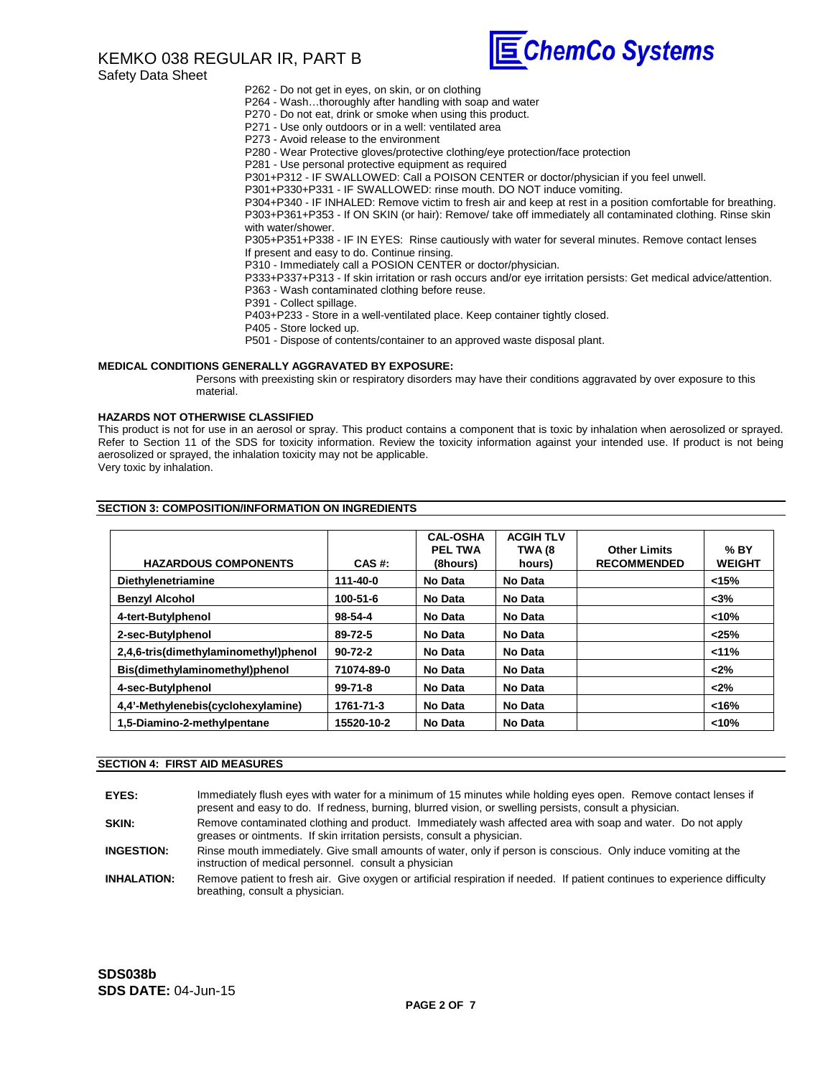# KEMKO 038 REGULAR IR, PART B

Safety Data Sheet



P262 - Do not get in eyes, on skin, or on clothing

P264 - Wash…thoroughly after handling with soap and water

P270 - Do not eat, drink or smoke when using this product.

- P271 Use only outdoors or in a well: ventilated area
- P273 Avoid release to the environment

P280 - Wear Protective gloves/protective clothing/eye protection/face protection

P281 - Use personal protective equipment as required

P301+P312 - IF SWALLOWED: Call a POISON CENTER or doctor/physician if you feel unwell.

P301+P330+P331 - IF SWALLOWED: rinse mouth. DO NOT induce vomiting.

P304+P340 - IF INHALED: Remove victim to fresh air and keep at rest in a position comfortable for breathing. P303+P361+P353 - If ON SKIN (or hair): Remove/ take off immediately all contaminated clothing. Rinse skin with water/shower.

P305+P351+P338 - IF IN EYES: Rinse cautiously with water for several minutes. Remove contact lenses If present and easy to do. Continue rinsing.

P310 - Immediately call a POSION CENTER or doctor/physician.

P333+P337+P313 - If skin irritation or rash occurs and/or eye irritation persists: Get medical advice/attention. P363 - Wash contaminated clothing before reuse.

P391 - Collect spillage.

P403+P233 - Store in a well-ventilated place. Keep container tightly closed.

P405 - Store locked up.

P501 - Dispose of contents/container to an approved waste disposal plant.

#### **MEDICAL CONDITIONS GENERALLY AGGRAVATED BY EXPOSURE:**

Persons with preexisting skin or respiratory disorders may have their conditions aggravated by over exposure to this material.

#### **HAZARDS NOT OTHERWISE CLASSIFIED**

This product is not for use in an aerosol or spray. This product contains a component that is toxic by inhalation when aerosolized or sprayed. Refer to Section 11 of the SDS for toxicity information. Review the toxicity information against your intended use. If product is not being aerosolized or sprayed, the inhalation toxicity may not be applicable.

Very toxic by inhalation.

| <b>HAZARDOUS COMPONENTS</b>           | CAS #:        | <b>CAL-OSHA</b><br><b>PEL TWA</b><br>(8hours) | <b>ACGIH TLV</b><br>TWA (8<br>hours) | <b>Other Limits</b><br><b>RECOMMENDED</b> | $%$ BY<br><b>WEIGHT</b> |
|---------------------------------------|---------------|-----------------------------------------------|--------------------------------------|-------------------------------------------|-------------------------|
| Diethylenetriamine                    | 111-40-0      | No Data                                       | No Data                              |                                           | < 15%                   |
| <b>Benzyl Alcohol</b>                 | 100-51-6      | No Data                                       | No Data                              |                                           | $3%$                    |
| 4-tert-Butylphenol                    | 98-54-4       | No Data                                       | No Data                              |                                           | < 10%                   |
| 2-sec-Butylphenol                     | 89-72-5       | No Data                                       | No Data                              |                                           | < 25%                   |
| 2,4,6-tris(dimethylaminomethyl)phenol | $90 - 72 - 2$ | No Data                                       | No Data                              |                                           | $11\%$                  |
| Bis(dimethylaminomethyl)phenol        | 71074-89-0    | No Data                                       | No Data                              |                                           | < 2%                    |
| 4-sec-Butylphenol                     | $99 - 71 - 8$ | No Data                                       | No Data                              |                                           | $<$ 2%                  |
| 4,4'-Methylenebis(cyclohexylamine)    | 1761-71-3     | No Data                                       | No Data                              |                                           | <16%                    |
| 1,5-Diamino-2-methylpentane           | 15520-10-2    | No Data                                       | No Data                              |                                           | < 10%                   |

### **SECTION 3: COMPOSITION/INFORMATION ON INGREDIENTS**

#### **SECTION 4: FIRST AID MEASURES**

| EYES:              | Immediately flush eves with water for a minimum of 15 minutes while holding eyes open. Remove contact lenses if<br>present and easy to do. If redness, burning, blurred vision, or swelling persists, consult a physician. |
|--------------------|----------------------------------------------------------------------------------------------------------------------------------------------------------------------------------------------------------------------------|
| SKIN:              | Remove contaminated clothing and product. Immediately wash affected area with soap and water. Do not apply<br>greases or ointments. If skin irritation persists, consult a physician.                                      |
| <b>INGESTION:</b>  | Rinse mouth immediately. Give small amounts of water, only if person is conscious. Only induce vomiting at the<br>instruction of medical personnel. consult a physician                                                    |
| <b>INHALATION:</b> | Remove patient to fresh air. Give oxygen or artificial respiration if needed. If patient continues to experience difficulty                                                                                                |

breathing, consult a physician.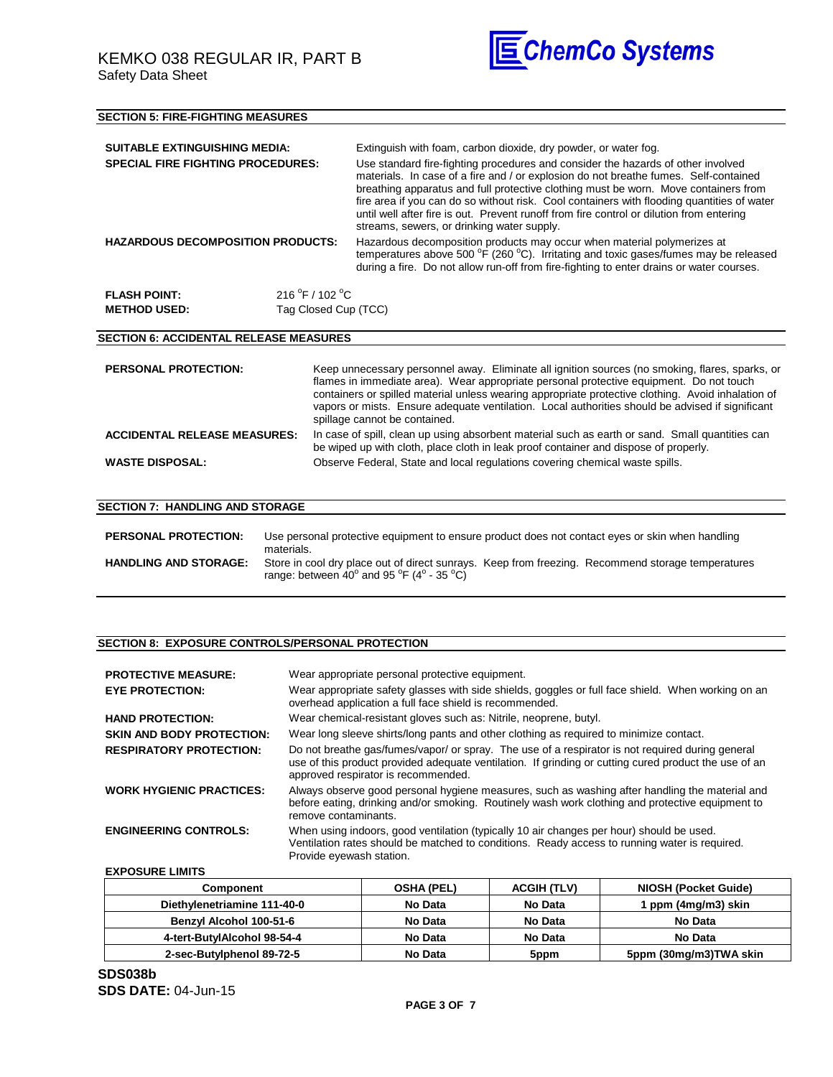

| Extinguish with foam, carbon dioxide, dry powder, or water fog.<br><b>SUITABLE EXTINGUISHING MEDIA:</b><br>Use standard fire-fighting procedures and consider the hazards of other involved<br><b>SPECIAL FIRE FIGHTING PROCEDURES:</b><br>materials. In case of a fire and / or explosion do not breathe fumes. Self-contained<br>breathing apparatus and full protective clothing must be worn. Move containers from<br>fire area if you can do so without risk. Cool containers with flooding quantities of water<br>until well after fire is out. Prevent runoff from fire control or dilution from entering<br>streams, sewers, or drinking water supply.<br><b>HAZARDOUS DECOMPOSITION PRODUCTS:</b><br>Hazardous decomposition products may occur when material polymerizes at<br>temperatures above 500 °F (260 °C). Irritating and toxic gases/fumes may be released<br>during a fire. Do not allow run-off from fire-fighting to enter drains or water courses.<br>216 °F / 102 °C<br><b>FLASH POINT:</b><br>Tag Closed Cup (TCC)<br><b>METHOD USED:</b><br><b>SECTION 6: ACCIDENTAL RELEASE MEASURES</b><br>Keep unnecessary personnel away. Eliminate all ignition sources (no smoking, flares, sparks, or<br><b>PERSONAL PROTECTION:</b><br>flames in immediate area). Wear appropriate personal protective equipment. Do not touch<br>containers or spilled material unless wearing appropriate protective clothing. Avoid inhalation of<br>vapors or mists. Ensure adequate ventilation. Local authorities should be advised if significant<br>spillage cannot be contained.<br><b>ACCIDENTAL RELEASE MEASURES:</b><br>In case of spill, clean up using absorbent material such as earth or sand. Small quantities can | <b>SECTION 5: FIRE-FIGHTING MEASURES</b> |                                                                                      |  |
|---------------------------------------------------------------------------------------------------------------------------------------------------------------------------------------------------------------------------------------------------------------------------------------------------------------------------------------------------------------------------------------------------------------------------------------------------------------------------------------------------------------------------------------------------------------------------------------------------------------------------------------------------------------------------------------------------------------------------------------------------------------------------------------------------------------------------------------------------------------------------------------------------------------------------------------------------------------------------------------------------------------------------------------------------------------------------------------------------------------------------------------------------------------------------------------------------------------------------------------------------------------------------------------------------------------------------------------------------------------------------------------------------------------------------------------------------------------------------------------------------------------------------------------------------------------------------------------------------------------------------------------------------------------------------------------------------------------------------------------|------------------------------------------|--------------------------------------------------------------------------------------|--|
|                                                                                                                                                                                                                                                                                                                                                                                                                                                                                                                                                                                                                                                                                                                                                                                                                                                                                                                                                                                                                                                                                                                                                                                                                                                                                                                                                                                                                                                                                                                                                                                                                                                                                                                                       |                                          |                                                                                      |  |
|                                                                                                                                                                                                                                                                                                                                                                                                                                                                                                                                                                                                                                                                                                                                                                                                                                                                                                                                                                                                                                                                                                                                                                                                                                                                                                                                                                                                                                                                                                                                                                                                                                                                                                                                       |                                          |                                                                                      |  |
|                                                                                                                                                                                                                                                                                                                                                                                                                                                                                                                                                                                                                                                                                                                                                                                                                                                                                                                                                                                                                                                                                                                                                                                                                                                                                                                                                                                                                                                                                                                                                                                                                                                                                                                                       |                                          |                                                                                      |  |
|                                                                                                                                                                                                                                                                                                                                                                                                                                                                                                                                                                                                                                                                                                                                                                                                                                                                                                                                                                                                                                                                                                                                                                                                                                                                                                                                                                                                                                                                                                                                                                                                                                                                                                                                       |                                          |                                                                                      |  |
|                                                                                                                                                                                                                                                                                                                                                                                                                                                                                                                                                                                                                                                                                                                                                                                                                                                                                                                                                                                                                                                                                                                                                                                                                                                                                                                                                                                                                                                                                                                                                                                                                                                                                                                                       |                                          |                                                                                      |  |
|                                                                                                                                                                                                                                                                                                                                                                                                                                                                                                                                                                                                                                                                                                                                                                                                                                                                                                                                                                                                                                                                                                                                                                                                                                                                                                                                                                                                                                                                                                                                                                                                                                                                                                                                       |                                          |                                                                                      |  |
|                                                                                                                                                                                                                                                                                                                                                                                                                                                                                                                                                                                                                                                                                                                                                                                                                                                                                                                                                                                                                                                                                                                                                                                                                                                                                                                                                                                                                                                                                                                                                                                                                                                                                                                                       |                                          |                                                                                      |  |
|                                                                                                                                                                                                                                                                                                                                                                                                                                                                                                                                                                                                                                                                                                                                                                                                                                                                                                                                                                                                                                                                                                                                                                                                                                                                                                                                                                                                                                                                                                                                                                                                                                                                                                                                       |                                          | be wiped up with cloth, place cloth in leak proof container and dispose of properly. |  |
| Observe Federal, State and local regulations covering chemical waste spills.<br><b>WASTE DISPOSAL:</b>                                                                                                                                                                                                                                                                                                                                                                                                                                                                                                                                                                                                                                                                                                                                                                                                                                                                                                                                                                                                                                                                                                                                                                                                                                                                                                                                                                                                                                                                                                                                                                                                                                |                                          |                                                                                      |  |
|                                                                                                                                                                                                                                                                                                                                                                                                                                                                                                                                                                                                                                                                                                                                                                                                                                                                                                                                                                                                                                                                                                                                                                                                                                                                                                                                                                                                                                                                                                                                                                                                                                                                                                                                       |                                          |                                                                                      |  |
| <b>SECTION 7: HANDLING AND STORAGE</b>                                                                                                                                                                                                                                                                                                                                                                                                                                                                                                                                                                                                                                                                                                                                                                                                                                                                                                                                                                                                                                                                                                                                                                                                                                                                                                                                                                                                                                                                                                                                                                                                                                                                                                |                                          |                                                                                      |  |

| <b>PERSONAL PROTECTION:</b>  | Use personal protective equipment to ensure product does not contact eves or skin when handling<br>materials.                                                                          |
|------------------------------|----------------------------------------------------------------------------------------------------------------------------------------------------------------------------------------|
| <b>HANDLING AND STORAGE:</b> | Store in cool dry place out of direct sunrays. Keep from freezing. Recommend storage temperatures<br>range: between 40 $^{\circ}$ and 95 $^{\circ}$ F (4 $^{\circ}$ - 35 $^{\circ}$ C) |

## **SECTION 8: EXPOSURE CONTROLS/PERSONAL PROTECTION**

| <b>PROTECTIVE MEASURE:</b><br><b>EYE PROTECTION:</b> | Wear appropriate personal protective equipment.<br>Wear appropriate safety glasses with side shields, goggles or full face shield. When working on an<br>overhead application a full face shield is recommended.                                 |
|------------------------------------------------------|--------------------------------------------------------------------------------------------------------------------------------------------------------------------------------------------------------------------------------------------------|
|                                                      |                                                                                                                                                                                                                                                  |
| <b>HAND PROTECTION:</b>                              | Wear chemical-resistant gloves such as: Nitrile, neoprene, butyl.                                                                                                                                                                                |
| <b>SKIN AND BODY PROTECTION:</b>                     | Wear long sleeve shirts/long pants and other clothing as required to minimize contact.                                                                                                                                                           |
| <b>RESPIRATORY PROTECTION:</b>                       | Do not breathe gas/fumes/vapor/ or spray. The use of a respirator is not required during general<br>use of this product provided adequate ventilation. If grinding or cutting cured product the use of an<br>approved respirator is recommended. |
| <b>WORK HYGIENIC PRACTICES:</b>                      | Always observe good personal hygiene measures, such as washing after handling the material and<br>before eating, drinking and/or smoking. Routinely wash work clothing and protective equipment to<br>remove contaminants.                       |
| <b>ENGINEERING CONTROLS:</b>                         | When using indoors, good ventilation (typically 10 air changes per hour) should be used.<br>Ventilation rates should be matched to conditions. Ready access to running water is required.<br>Provide eyewash station.                            |
|                                                      |                                                                                                                                                                                                                                                  |

**EXPOSURE LIMITS**

| Component                      | <b>OSHA (PEL)</b> | <b>ACGIH (TLV)</b> | <b>NIOSH (Pocket Guide)</b> |
|--------------------------------|-------------------|--------------------|-----------------------------|
| Diethylenetriamine 111-40-0    | No Data           | No Data            | ppm (4mg/m3) skin           |
| <b>Benzyl Alcohol 100-51-6</b> | No Data           | No Data            | No Data                     |
| 4-tert-ButvlAlcohol 98-54-4    | No Data           | No Data            | No Data                     |
| 2-sec-Butylphenol 89-72-5      | No Data           | 5ppm               | 5ppm (30mg/m3)TWA skin      |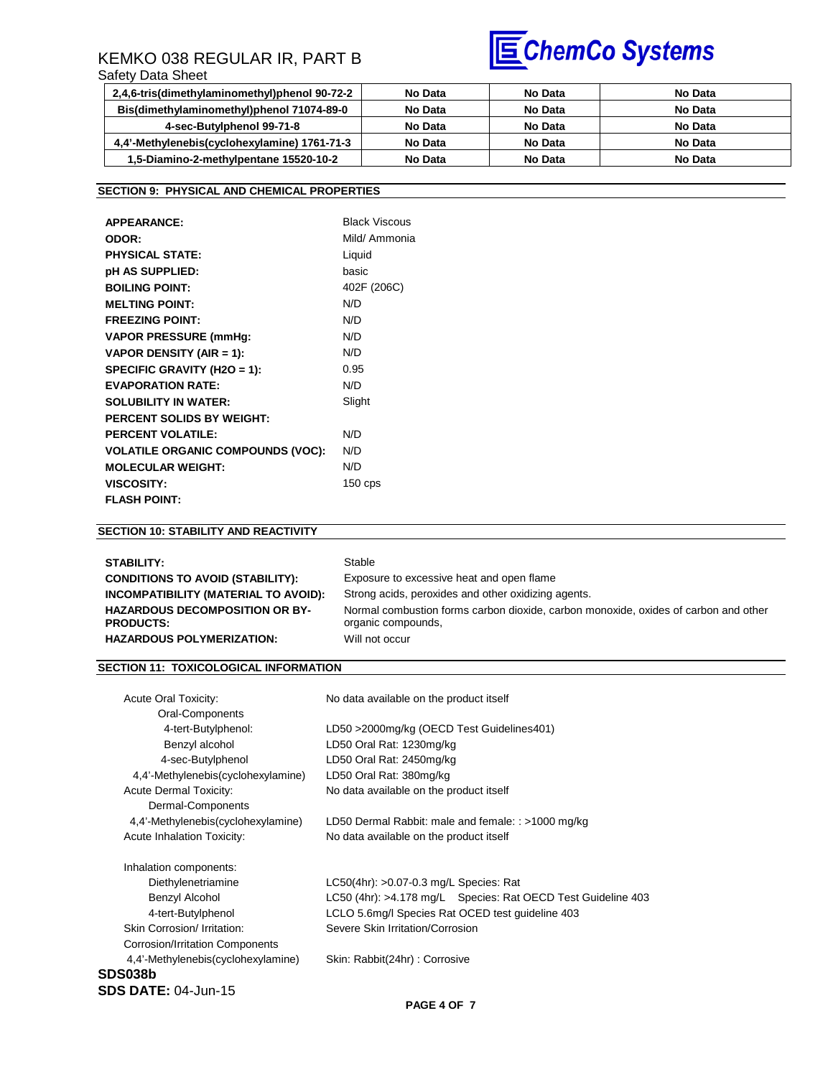# KEMKO 038 REGULAR IR, PART B

## Safety Data Sheet



| 2,4,6-tris(dimethylaminomethyl)phenol 90-72-2 | No Data | No Data | No Data |
|-----------------------------------------------|---------|---------|---------|
| Bis(dimethylaminomethyl)phenol 71074-89-0     | No Data | No Data | No Data |
| 4-sec-Butylphenol 99-71-8                     | No Data | No Data | No Data |
| 4,4'-Methylenebis(cyclohexylamine) 1761-71-3  | No Data | No Data | No Data |
| 1,5-Diamino-2-methylpentane 15520-10-2        | No Data | No Data | No Data |

## **SECTION 9: PHYSICAL AND CHEMICAL PROPERTIES**

| <b>APPEARANCE:</b>                       | <b>Black Viscous</b> |
|------------------------------------------|----------------------|
| ODOR:                                    | Mild/ Ammonia        |
| <b>PHYSICAL STATE:</b>                   | Liquid               |
| pH AS SUPPLIED:                          | basic                |
| <b>BOILING POINT:</b>                    | 402F (206C)          |
| <b>MELTING POINT:</b>                    | N/D                  |
| <b>FREEZING POINT:</b>                   | N/D                  |
| <b>VAPOR PRESSURE (mmHq:</b>             | N/D                  |
| VAPOR DENSITY (AIR = 1):                 | N/D                  |
| SPECIFIC GRAVITY (H2O = 1):              | 0.95                 |
| <b>EVAPORATION RATE:</b>                 | N/D                  |
| <b>SOLUBILITY IN WATER:</b>              | Slight               |
| <b>PERCENT SOLIDS BY WEIGHT:</b>         |                      |
| <b>PERCENT VOLATILE:</b>                 | N/D                  |
| <b>VOLATILE ORGANIC COMPOUNDS (VOC):</b> | N/D                  |
| <b>MOLECULAR WEIGHT:</b>                 | N/D                  |
| <b>VISCOSITY:</b>                        | $150$ cps            |
| <b>FLASH POINT:</b>                      |                      |

## **SECTION 10: STABILITY AND REACTIVITY**

| STABILITY:                                                                                    | Stable                                                                                                                      |
|-----------------------------------------------------------------------------------------------|-----------------------------------------------------------------------------------------------------------------------------|
| <b>CONDITIONS TO AVOID (STABILITY):</b>                                                       | Exposure to excessive heat and open flame                                                                                   |
| INCOMPATIBILITY (MATERIAL TO AVOID):                                                          | Strong acids, peroxides and other oxidizing agents.                                                                         |
| <b>HAZARDOUS DECOMPOSITION OR BY-</b><br><b>PRODUCTS:</b><br><b>HAZARDOUS POLYMERIZATION:</b> | Normal combustion forms carbon dioxide, carbon monoxide, oxides of carbon and other<br>organic compounds,<br>Will not occur |

## **SECTION 11: TOXICOLOGICAL INFORMATION**

| <b>Acute Oral Toxicity:</b>            | No data available on the product itself                         |  |
|----------------------------------------|-----------------------------------------------------------------|--|
| Oral-Components                        |                                                                 |  |
| 4-tert-Butylphenol:                    | LD50 >2000mg/kg (OECD Test Guidelines401)                       |  |
| Benzyl alcohol                         | LD50 Oral Rat: 1230mg/kg                                        |  |
| 4-sec-Butylphenol                      | LD50 Oral Rat: 2450mg/kg                                        |  |
| 4,4'-Methylenebis(cyclohexylamine)     | LD50 Oral Rat: 380mg/kg                                         |  |
| <b>Acute Dermal Toxicity:</b>          | No data available on the product itself                         |  |
| Dermal-Components                      |                                                                 |  |
| 4.4'-Methylenebis(cyclohexylamine)     | LD50 Dermal Rabbit: male and female: : >1000 mg/kg              |  |
| <b>Acute Inhalation Toxicity:</b>      | No data available on the product itself                         |  |
| Inhalation components:                 |                                                                 |  |
| Diethylenetriamine                     | $LC50(4hr)$ : >0.07-0.3 mg/L Species: Rat                       |  |
| Benzyl Alcohol                         | LC50 (4hr): >4.178 mg/L    Species: Rat OECD Test Guideline 403 |  |
| 4-tert-Butylphenol                     | LCLO 5.6mg/I Species Rat OCED test guideline 403                |  |
| Skin Corrosion/ Irritation:            | Severe Skin Irritation/Corrosion                                |  |
| <b>Corrosion/Irritation Components</b> |                                                                 |  |
| 4,4'-Methylenebis(cyclohexylamine)     | Skin: Rabbit(24hr): Corrosive                                   |  |
| SDS038b                                |                                                                 |  |
| <b>SDS DATE: 04-Jun-15</b>             |                                                                 |  |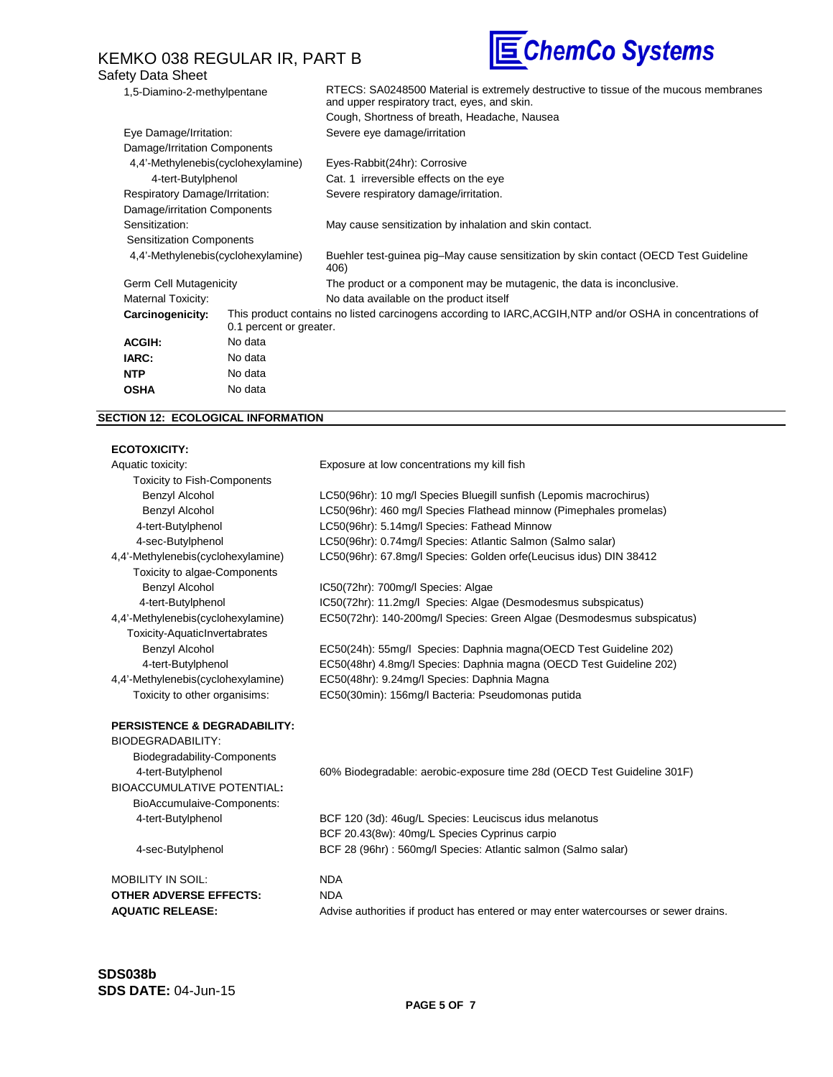## KEMKO 038 REGULAR IR, PART B Safety Data Sheet



| 1,5-Diamino-2-methylpentane        |                                                                                                                                       | RTECS: SA0248500 Material is extremely destructive to tissue of the mucous membranes<br>and upper respiratory tract, eyes, and skin. |
|------------------------------------|---------------------------------------------------------------------------------------------------------------------------------------|--------------------------------------------------------------------------------------------------------------------------------------|
|                                    |                                                                                                                                       | Cough, Shortness of breath, Headache, Nausea                                                                                         |
| Eye Damage/Irritation:             |                                                                                                                                       | Severe eye damage/irritation                                                                                                         |
| Damage/Irritation Components       |                                                                                                                                       |                                                                                                                                      |
|                                    | 4,4'-Methylenebis(cyclohexylamine)                                                                                                    | Eyes-Rabbit(24hr): Corrosive                                                                                                         |
| 4-tert-Butylphenol                 |                                                                                                                                       | Cat. 1 irreversible effects on the eye                                                                                               |
| Respiratory Damage/Irritation:     |                                                                                                                                       | Severe respiratory damage/irritation.                                                                                                |
| Damage/irritation Components       |                                                                                                                                       |                                                                                                                                      |
| Sensitization:                     |                                                                                                                                       | May cause sensitization by inhalation and skin contact.                                                                              |
| <b>Sensitization Components</b>    |                                                                                                                                       |                                                                                                                                      |
| 4,4'-Methylenebis(cyclohexylamine) |                                                                                                                                       | Buehler test-guinea pig-May cause sensitization by skin contact (OECD Test Guideline<br>406)                                         |
| Germ Cell Mutagenicity             |                                                                                                                                       | The product or a component may be mutagenic, the data is inconclusive.                                                               |
| Maternal Toxicity:                 |                                                                                                                                       | No data available on the product itself                                                                                              |
| Carcinogenicity:                   | This product contains no listed carcinogens according to IARC, ACGIH, NTP and/or OSHA in concentrations of<br>0.1 percent or greater. |                                                                                                                                      |
| <b>ACGIH:</b>                      | No data                                                                                                                               |                                                                                                                                      |
| IARC:                              | No data                                                                                                                               |                                                                                                                                      |
| <b>NTP</b>                         | No data                                                                                                                               |                                                                                                                                      |
| <b>OSHA</b>                        | No data                                                                                                                               |                                                                                                                                      |

## **SECTION 12: ECOLOGICAL INFORMATION**

## **ECOTOXICITY:**

| ,,,,,,,,,,,,,,,,                        |                                                                         |
|-----------------------------------------|-------------------------------------------------------------------------|
| Aquatic toxicity:                       | Exposure at low concentrations my kill fish                             |
| <b>Toxicity to Fish-Components</b>      |                                                                         |
| Benzyl Alcohol                          | LC50(96hr): 10 mg/l Species Bluegill sunfish (Lepomis macrochirus)      |
| Benzyl Alcohol                          | LC50(96hr): 460 mg/l Species Flathead minnow (Pimephales promelas)      |
| 4-tert-Butylphenol                      | LC50(96hr): 5.14mg/l Species: Fathead Minnow                            |
| 4-sec-Butylphenol                       | LC50(96hr): 0.74mg/l Species: Atlantic Salmon (Salmo salar)             |
| 4,4'-Methylenebis(cyclohexylamine)      | LC50(96hr): 67.8mg/l Species: Golden orfe(Leucisus idus) DIN 38412      |
| Toxicity to algae-Components            |                                                                         |
| Benzyl Alcohol                          | IC50(72hr): 700mg/l Species: Algae                                      |
| 4-tert-Butylphenol                      | IC50(72hr): 11.2mg/l Species: Algae (Desmodesmus subspicatus)           |
| 4,4'-Methylenebis(cyclohexylamine)      | EC50(72hr): 140-200mg/l Species: Green Algae (Desmodesmus subspicatus)  |
| <b>Toxicity-AquaticInvertabrates</b>    |                                                                         |
| Benzyl Alcohol                          | EC50(24h): 55mg/l Species: Daphnia magna(OECD Test Guideline 202)       |
| 4-tert-Butylphenol                      | EC50(48hr) 4.8mg/l Species: Daphnia magna (OECD Test Guideline 202)     |
| 4,4'-Methylenebis(cyclohexylamine)      | EC50(48hr): 9.24mg/l Species: Daphnia Magna                             |
| Toxicity to other organisims:           | EC50(30min): 156mg/l Bacteria: Pseudomonas putida                       |
| <b>PERSISTENCE &amp; DEGRADABILITY:</b> |                                                                         |
| BIODEGRADABILITY:                       |                                                                         |
| Biodegradability-Components             |                                                                         |
| 4-tert-Butylphenol                      | 60% Biodegradable: aerobic-exposure time 28d (OECD Test Guideline 301F) |
| <b>BIOACCUMULATIVE POTENTIAL:</b>       |                                                                         |
| BioAccumulaive-Components:              |                                                                         |
| 4-tert-Butylphenol                      | BCF 120 (3d): 46ug/L Species: Leuciscus idus melanotus                  |
|                                         | BCF 20.43(8w): 40mg/L Species Cyprinus carpio                           |
| 4-sec-Butylphenol                       | BCF 28 (96hr) : 560mg/l Species: Atlantic salmon (Salmo salar)          |

| MOBILITY IN SOIL:       | NDA                                                                                  |
|-------------------------|--------------------------------------------------------------------------------------|
| OTHER ADVERSE EFFECTS:  | NDA                                                                                  |
| <b>AQUATIC RELEASE:</b> | Advise authorities if product has entered or may enter watercourses or sewer drains. |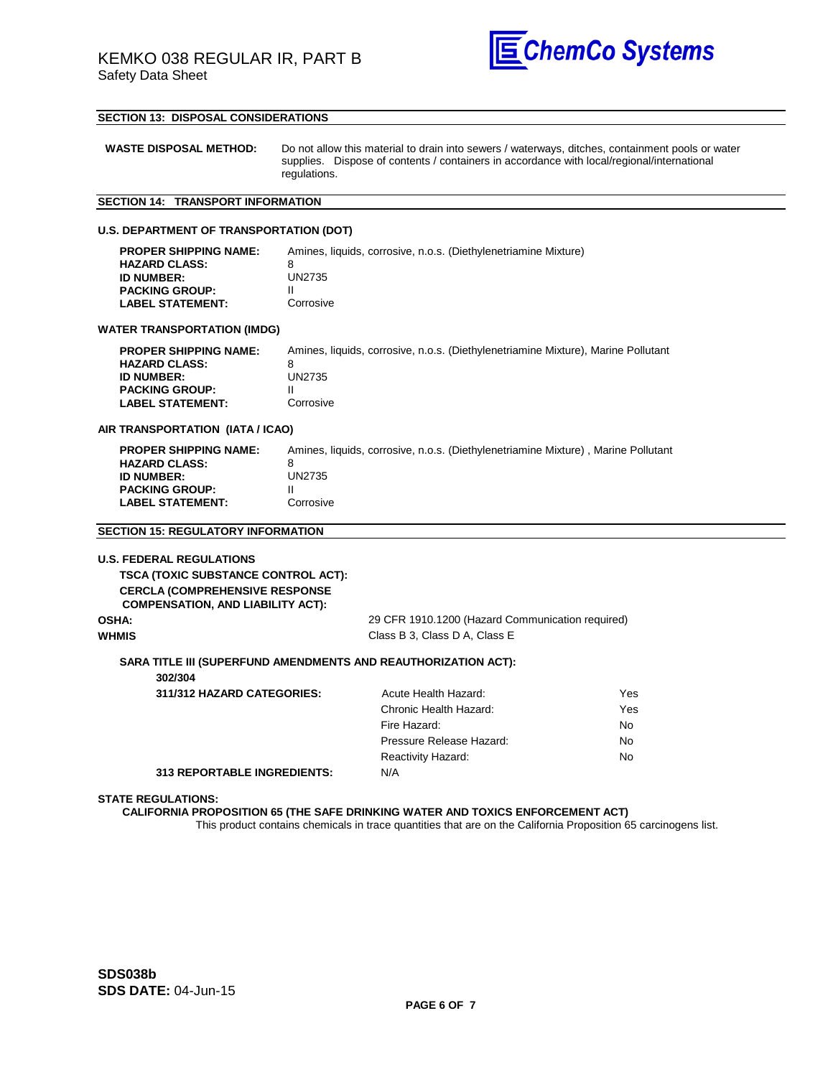

### **SECTION 13: DISPOSAL CONSIDERATIONS**

| <b>WASTE DISPOSAL METHOD:</b> | Do not allow this material to drain into sewers / waterways, ditches, containment pools or water |
|-------------------------------|--------------------------------------------------------------------------------------------------|
|                               | supplies. Dispose of contents / containers in accordance with local/regional/international       |
|                               | regulations.                                                                                     |

## **SECTION 14: TRANSPORT INFORMATION**

#### **U.S. DEPARTMENT OF TRANSPORTATION (DOT)**

| <b>PROPER SHIPPING NAME:</b> | Amines, liquids, corrosive, n.o.s. (Diethylenetriamine Mixture) |
|------------------------------|-----------------------------------------------------------------|
| <b>HAZARD CLASS:</b>         |                                                                 |
| <b>ID NUMBER:</b>            | UN2735                                                          |
| <b>PACKING GROUP:</b>        |                                                                 |
| <b>LABEL STATEMENT:</b>      | Corrosive                                                       |

#### **WATER TRANSPORTATION (IMDG)**

| <b>PROPER SHIPPING NAME:</b> | Amines, liquids, corrosive, n.o.s. (Diethylenetriamine Mixture), Marine Pollutant |
|------------------------------|-----------------------------------------------------------------------------------|
| <b>HAZARD CLASS:</b>         |                                                                                   |
| <b>ID NUMBER:</b>            | UN2735                                                                            |
| <b>PACKING GROUP:</b>        |                                                                                   |
| <b>LABEL STATEMENT:</b>      | Corrosive                                                                         |
|                              |                                                                                   |

#### **AIR TRANSPORTATION (IATA / ICAO)**

| <b>PROPER SHIPPING NAME:</b> | Amines, liquids, corrosive, n.o.s. (Diethylenetriamine Mixture), Marine Pollutant |
|------------------------------|-----------------------------------------------------------------------------------|
| <b>HAZARD CLASS:</b>         |                                                                                   |
| <b>ID NUMBER:</b>            | UN2735                                                                            |
| <b>PACKING GROUP:</b>        |                                                                                   |
| <b>LABEL STATEMENT:</b>      | Corrosive                                                                         |
|                              |                                                                                   |

#### **SECTION 15: REGULATORY INFORMATION**

| <b>U.S. FEDERAL REGULATIONS</b>                                                    |                                                  |                    |
|------------------------------------------------------------------------------------|--------------------------------------------------|--------------------|
| <b>TSCA (TOXIC SUBSTANCE CONTROL ACT):</b>                                         |                                                  |                    |
| <b>CERCLA (COMPREHENSIVE RESPONSE)</b><br><b>COMPENSATION, AND LIABILITY ACT):</b> |                                                  |                    |
| OSHA:                                                                              | 29 CFR 1910.1200 (Hazard Communication required) |                    |
| WHMIS                                                                              | Class B 3, Class D A, Class E                    |                    |
| <b>SARA TITLE III (SUPERFUND AMENDMENTS AND REAUTHORIZATION ACT):</b>              |                                                  |                    |
| 302/304                                                                            |                                                  |                    |
| $244/242$ HAZARD CATECODIES.                                                       | $\Lambda$ outo Hoolth Hozord.                    | $V_{\alpha\alpha}$ |

| 311/312 HAZARD CATEGORIES:         | Acute Health Hazard:      | Yes |
|------------------------------------|---------------------------|-----|
|                                    | Chronic Health Hazard:    | Yes |
|                                    | Fire Hazard:              | No. |
|                                    | Pressure Release Hazard:  | No. |
|                                    | <b>Reactivity Hazard:</b> | No. |
| <b>313 REPORTABLE INGREDIENTS:</b> | N/A                       |     |

#### **STATE REGULATIONS:**

#### **CALIFORNIA PROPOSITION 65 (THE SAFE DRINKING WATER AND TOXICS ENFORCEMENT ACT)**

This product contains chemicals in trace quantities that are on the California Proposition 65 carcinogens list.